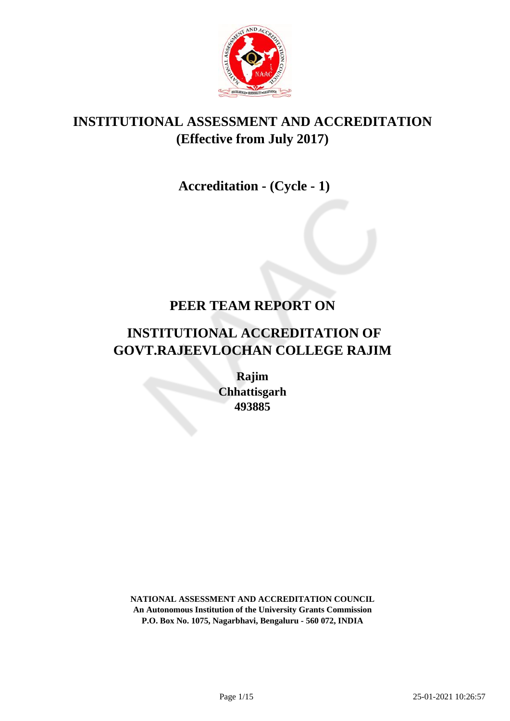

## **INSTITUTIONAL ASSESSMENT AND ACCREDITATION (Effective from July 2017)**

## **Accreditation - (Cycle - 1)**

## **PEER TEAM REPORT ON**

# **INSTITUTIONAL ACCREDITATION OF GOVT.RAJEEVLOCHAN COLLEGE RAJIM**

**Rajim Chhattisgarh 493885**

**NATIONAL ASSESSMENT AND ACCREDITATION COUNCIL An Autonomous Institution of the University Grants Commission P.O. Box No. 1075, Nagarbhavi, Bengaluru - 560 072, INDIA**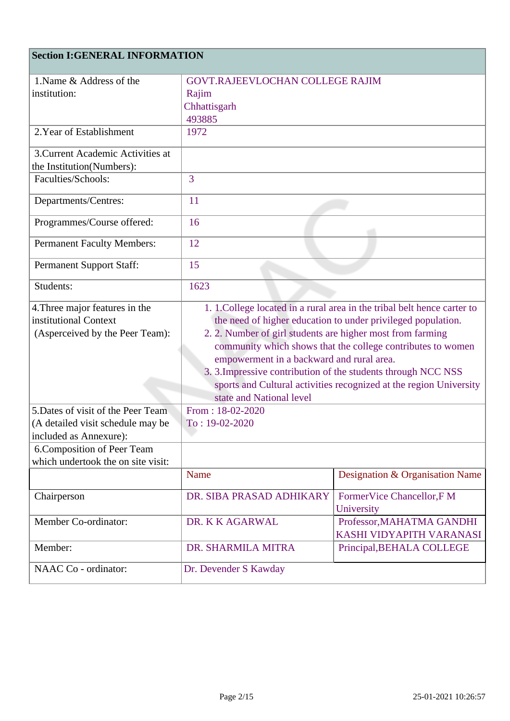### **Section I:GENERAL INFORMATION**

| 1. Name & Address of the           | <b>GOVT.RAJEEVLOCHAN COLLEGE RAJIM</b>                             |                                                                          |  |
|------------------------------------|--------------------------------------------------------------------|--------------------------------------------------------------------------|--|
| institution:                       | Rajim                                                              |                                                                          |  |
|                                    | Chhattisgarh                                                       |                                                                          |  |
|                                    | 493885                                                             |                                                                          |  |
| 2. Year of Establishment           | 1972                                                               |                                                                          |  |
| 3. Current Academic Activities at  |                                                                    |                                                                          |  |
| the Institution(Numbers):          |                                                                    |                                                                          |  |
| Faculties/Schools:                 | $\overline{3}$                                                     |                                                                          |  |
| Departments/Centres:               | 11                                                                 |                                                                          |  |
| Programmes/Course offered:         | 16                                                                 |                                                                          |  |
| <b>Permanent Faculty Members:</b>  | 12                                                                 |                                                                          |  |
| <b>Permanent Support Staff:</b>    | 15                                                                 |                                                                          |  |
| Students:                          | 1623                                                               |                                                                          |  |
| 4. Three major features in the     |                                                                    | 1. 1. College located in a rural area in the tribal belt hence carter to |  |
| institutional Context              |                                                                    | the need of higher education to under privileged population.             |  |
| (Asperceived by the Peer Team):    | 2. 2. Number of girl students are higher most from farming         |                                                                          |  |
|                                    | community which shows that the college contributes to women        |                                                                          |  |
|                                    | empowerment in a backward and rural area.                          |                                                                          |  |
|                                    | 3. 3. Impressive contribution of the students through NCC NSS      |                                                                          |  |
|                                    | sports and Cultural activities recognized at the region University |                                                                          |  |
|                                    | state and National level                                           |                                                                          |  |
| 5. Dates of visit of the Peer Team | From: $18-02-2020$                                                 |                                                                          |  |
| (A detailed visit schedule may be  | $To: 19-02-2020$                                                   |                                                                          |  |
| included as Annexure):             |                                                                    |                                                                          |  |
| 6. Composition of Peer Team        |                                                                    |                                                                          |  |
| which undertook the on site visit: |                                                                    |                                                                          |  |
|                                    | Name                                                               | Designation & Organisation Name                                          |  |
| Chairperson                        | DR. SIBA PRASAD ADHIKARY                                           | FormerVice Chancellor, F M                                               |  |
|                                    |                                                                    | University                                                               |  |
| Member Co-ordinator:               | DR. K K AGARWAL                                                    | Professor, MAHATMA GANDHI                                                |  |
|                                    |                                                                    | KASHI VIDYAPITH VARANASI                                                 |  |
| Member:                            | DR. SHARMILA MITRA                                                 | Principal, BEHALA COLLEGE                                                |  |
| NAAC Co - ordinator:               | Dr. Devender S Kawday                                              |                                                                          |  |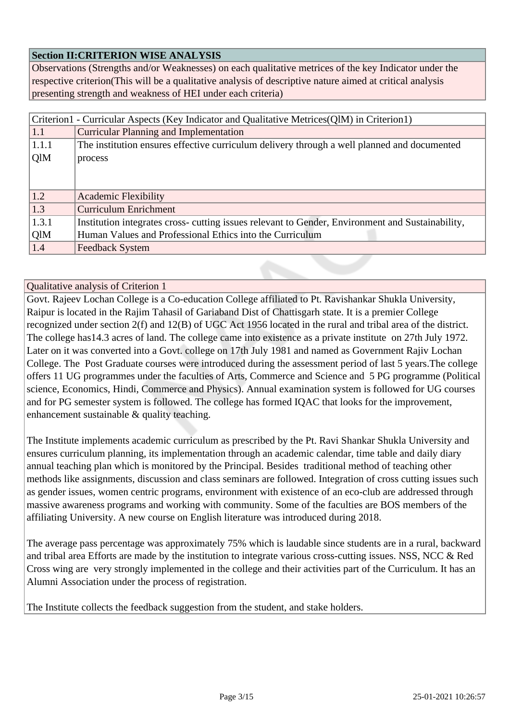#### **Section II:CRITERION WISE ANALYSIS**

Observations (Strengths and/or Weaknesses) on each qualitative metrices of the key Indicator under the respective criterion(This will be a qualitative analysis of descriptive nature aimed at critical analysis presenting strength and weakness of HEI under each criteria)

| Criterion1 - Curricular Aspects (Key Indicator and Qualitative Metrices(QlM) in Criterion1) |                                                                                                  |  |
|---------------------------------------------------------------------------------------------|--------------------------------------------------------------------------------------------------|--|
| 1.1                                                                                         | <b>Curricular Planning and Implementation</b>                                                    |  |
| 1.1.1                                                                                       | The institution ensures effective curriculum delivery through a well planned and documented      |  |
| QlM                                                                                         | process                                                                                          |  |
|                                                                                             |                                                                                                  |  |
|                                                                                             |                                                                                                  |  |
| 1.2                                                                                         | <b>Academic Flexibility</b>                                                                      |  |
| 1.3                                                                                         | <b>Curriculum Enrichment</b>                                                                     |  |
| 1.3.1                                                                                       | Institution integrates cross- cutting issues relevant to Gender, Environment and Sustainability, |  |
| QlM                                                                                         | Human Values and Professional Ethics into the Curriculum                                         |  |
| 1.4                                                                                         | <b>Feedback System</b>                                                                           |  |

#### Qualitative analysis of Criterion 1

Govt. Rajeev Lochan College is a Co-education College affiliated to Pt. Ravishankar Shukla University, Raipur is located in the Rajim Tahasil of Gariaband Dist of Chattisgarh state. It is a premier College recognized under section 2(f) and 12(B) of UGC Act 1956 located in the rural and tribal area of the district. The college has14.3 acres of land. The college came into existence as a private institute on 27th July 1972. Later on it was converted into a Govt. college on 17th July 1981 and named as Government Rajiv Lochan College. The Post Graduate courses were introduced during the assessment period of last 5 years.The college offers 11 UG programmes under the faculties of Arts, Commerce and Science and 5 PG programme (Political science, Economics, Hindi, Commerce and Physics). Annual examination system is followed for UG courses and for PG semester system is followed. The college has formed IQAC that looks for the improvement, enhancement sustainable & quality teaching.

The Institute implements academic curriculum as prescribed by the Pt. Ravi Shankar Shukla University and ensures curriculum planning, its implementation through an academic calendar, time table and daily diary annual teaching plan which is monitored by the Principal. Besides traditional method of teaching other methods like assignments, discussion and class seminars are followed. Integration of cross cutting issues such as gender issues, women centric programs, environment with existence of an eco-club are addressed through massive awareness programs and working with community. Some of the faculties are BOS members of the affiliating University. A new course on English literature was introduced during 2018.

The average pass percentage was approximately 75% which is laudable since students are in a rural, backward and tribal area Efforts are made by the institution to integrate various cross-cutting issues. NSS, NCC & Red Cross wing are very strongly implemented in the college and their activities part of the Curriculum. It has an Alumni Association under the process of registration.

The Institute collects the feedback suggestion from the student, and stake holders.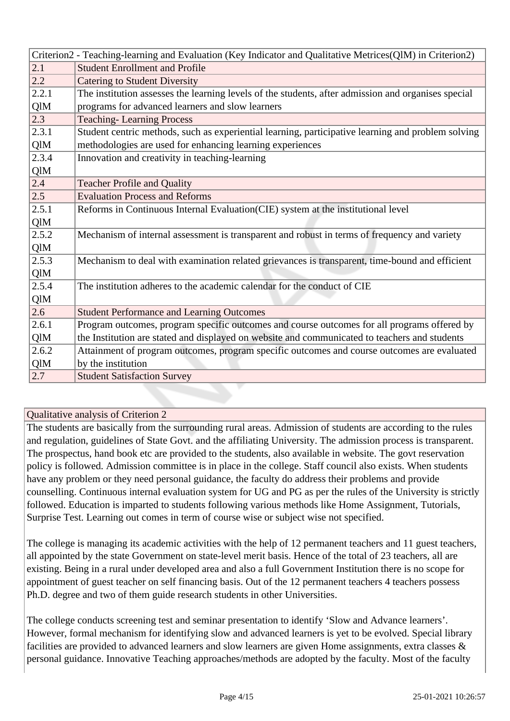|       | Criterion2 - Teaching-learning and Evaluation (Key Indicator and Qualitative Metrices(QlM) in Criterion2) |  |
|-------|-----------------------------------------------------------------------------------------------------------|--|
| 2.1   | <b>Student Enrollment and Profile</b>                                                                     |  |
| 2.2   | <b>Catering to Student Diversity</b>                                                                      |  |
| 2.2.1 | The institution assesses the learning levels of the students, after admission and organises special       |  |
| QlM   | programs for advanced learners and slow learners                                                          |  |
| 2.3   | <b>Teaching-Learning Process</b>                                                                          |  |
| 2.3.1 | Student centric methods, such as experiential learning, participative learning and problem solving        |  |
| QlM   | methodologies are used for enhancing learning experiences                                                 |  |
| 2.3.4 | Innovation and creativity in teaching-learning                                                            |  |
| QlM   |                                                                                                           |  |
| 2.4   | <b>Teacher Profile and Quality</b>                                                                        |  |
| 2.5   | <b>Evaluation Process and Reforms</b>                                                                     |  |
| 2.5.1 | Reforms in Continuous Internal Evaluation(CIE) system at the institutional level                          |  |
| QlM   |                                                                                                           |  |
| 2.5.2 | Mechanism of internal assessment is transparent and robust in terms of frequency and variety              |  |
| QlM   |                                                                                                           |  |
| 2.5.3 | Mechanism to deal with examination related grievances is transparent, time-bound and efficient            |  |
| QlM   |                                                                                                           |  |
| 2.5.4 | The institution adheres to the academic calendar for the conduct of CIE                                   |  |
| QlM   |                                                                                                           |  |
| 2.6   | <b>Student Performance and Learning Outcomes</b>                                                          |  |
| 2.6.1 | Program outcomes, program specific outcomes and course outcomes for all programs offered by               |  |
| QlM   | the Institution are stated and displayed on website and communicated to teachers and students             |  |
| 2.6.2 | Attainment of program outcomes, program specific outcomes and course outcomes are evaluated               |  |
| QlM   | by the institution                                                                                        |  |
| 2.7   | <b>Student Satisfaction Survey</b>                                                                        |  |

The students are basically from the surrounding rural areas. Admission of students are according to the rules and regulation, guidelines of State Govt. and the affiliating University. The admission process is transparent. The prospectus, hand book etc are provided to the students, also available in website. The govt reservation policy is followed. Admission committee is in place in the college. Staff council also exists. When students have any problem or they need personal guidance, the faculty do address their problems and provide counselling. Continuous internal evaluation system for UG and PG as per the rules of the University is strictly followed. Education is imparted to students following various methods like Home Assignment, Tutorials, Surprise Test. Learning out comes in term of course wise or subject wise not specified.

The college is managing its academic activities with the help of 12 permanent teachers and 11 guest teachers, all appointed by the state Government on state-level merit basis. Hence of the total of 23 teachers, all are existing. Being in a rural under developed area and also a full Government Institution there is no scope for appointment of guest teacher on self financing basis. Out of the 12 permanent teachers 4 teachers possess Ph.D. degree and two of them guide research students in other Universities.

The college conducts screening test and seminar presentation to identify 'Slow and Advance learners'. However, formal mechanism for identifying slow and advanced learners is yet to be evolved. Special library facilities are provided to advanced learners and slow learners are given Home assignments, extra classes & personal guidance. Innovative Teaching approaches/methods are adopted by the faculty. Most of the faculty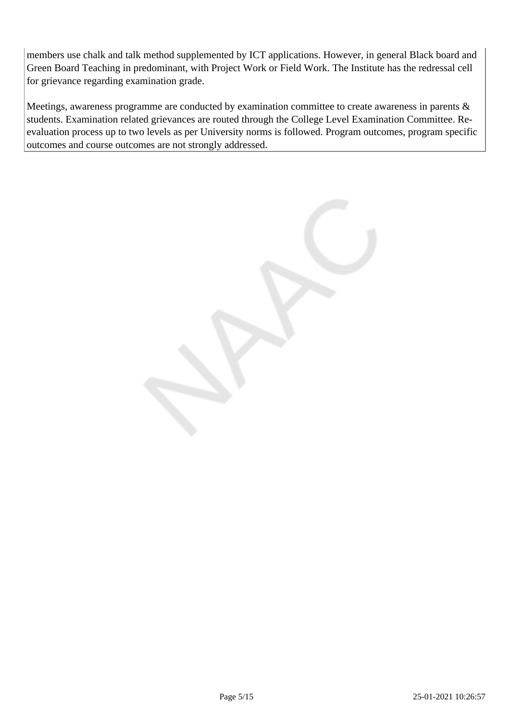members use chalk and talk method supplemented by ICT applications. However, in general Black board and Green Board Teaching in predominant, with Project Work or Field Work. The Institute has the redressal cell for grievance regarding examination grade.

Meetings, awareness programme are conducted by examination committee to create awareness in parents & students. Examination related grievances are routed through the College Level Examination Committee. Reevaluation process up to two levels as per University norms is followed. Program outcomes, program specific outcomes and course outcomes are not strongly addressed.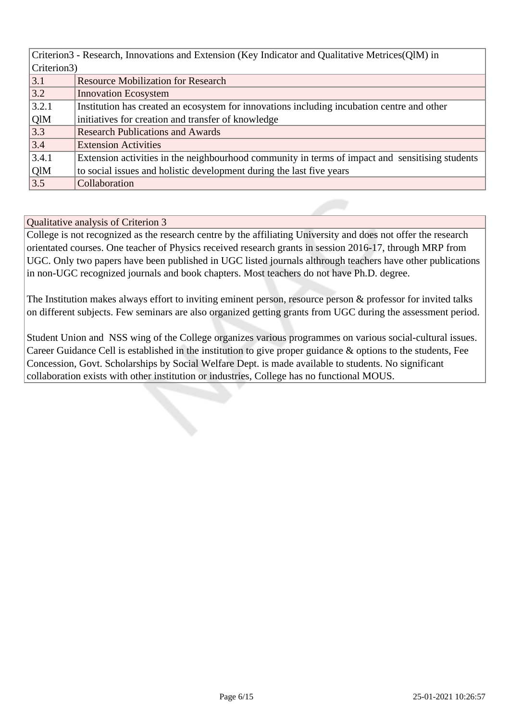| Criterion3 - Research, Innovations and Extension (Key Indicator and Qualitative Metrices (QIM) in |                                                                                                 |  |  |
|---------------------------------------------------------------------------------------------------|-------------------------------------------------------------------------------------------------|--|--|
|                                                                                                   | Criterion3)                                                                                     |  |  |
| 3.1                                                                                               | <b>Resource Mobilization for Research</b>                                                       |  |  |
| 3.2                                                                                               | <b>Innovation Ecosystem</b>                                                                     |  |  |
| 3.2.1                                                                                             | Institution has created an ecosystem for innovations including incubation centre and other      |  |  |
| QlM                                                                                               | initiatives for creation and transfer of knowledge                                              |  |  |
| 3.3                                                                                               | <b>Research Publications and Awards</b>                                                         |  |  |
| 3.4                                                                                               | <b>Extension Activities</b>                                                                     |  |  |
| 3.4.1                                                                                             | Extension activities in the neighbourhood community in terms of impact and sensitising students |  |  |
| QlM                                                                                               | to social issues and holistic development during the last five years                            |  |  |
| 3.5                                                                                               | Collaboration                                                                                   |  |  |

College is not recognized as the research centre by the affiliating University and does not offer the research orientated courses. One teacher of Physics received research grants in session 2016-17, through MRP from UGC. Only two papers have been published in UGC listed journals althrough teachers have other publications in non-UGC recognized journals and book chapters. Most teachers do not have Ph.D. degree.

The Institution makes always effort to inviting eminent person, resource person & professor for invited talks on different subjects. Few seminars are also organized getting grants from UGC during the assessment period.

Student Union and NSS wing of the College organizes various programmes on various social-cultural issues. Career Guidance Cell is established in the institution to give proper guidance & options to the students, Fee Concession, Govt. Scholarships by Social Welfare Dept. is made available to students. No significant collaboration exists with other institution or industries, College has no functional MOUS.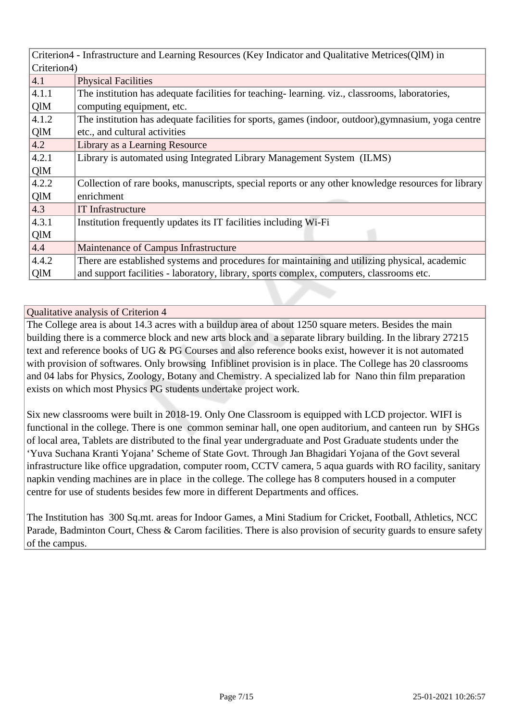| Criterion4 - Infrastructure and Learning Resources (Key Indicator and Qualitative Metrices (QIM) in |                                                                                                     |  |
|-----------------------------------------------------------------------------------------------------|-----------------------------------------------------------------------------------------------------|--|
| Criterion4)                                                                                         |                                                                                                     |  |
| 4.1                                                                                                 | <b>Physical Facilities</b>                                                                          |  |
| 4.1.1                                                                                               | The institution has adequate facilities for teaching-learning. viz., classrooms, laboratories,      |  |
| QlM                                                                                                 | computing equipment, etc.                                                                           |  |
| 4.1.2                                                                                               | The institution has adequate facilities for sports, games (indoor, outdoor), gymnasium, yoga centre |  |
| QlM                                                                                                 | etc., and cultural activities                                                                       |  |
| 4.2                                                                                                 | Library as a Learning Resource                                                                      |  |
| 4.2.1                                                                                               | Library is automated using Integrated Library Management System (ILMS)                              |  |
| QlM                                                                                                 |                                                                                                     |  |
| 4.2.2                                                                                               | Collection of rare books, manuscripts, special reports or any other knowledge resources for library |  |
| QlM                                                                                                 | enrichment                                                                                          |  |
| 4.3                                                                                                 | <b>IT</b> Infrastructure                                                                            |  |
| 4.3.1                                                                                               | Institution frequently updates its IT facilities including Wi-Fi                                    |  |
| QlM                                                                                                 |                                                                                                     |  |
| 4.4                                                                                                 | Maintenance of Campus Infrastructure                                                                |  |
| 4.4.2                                                                                               | There are established systems and procedures for maintaining and utilizing physical, academic       |  |
| QlM                                                                                                 | and support facilities - laboratory, library, sports complex, computers, classrooms etc.            |  |

The College area is about 14.3 acres with a buildup area of about 1250 square meters. Besides the main building there is a commerce block and new arts block and a separate library building. In the library 27215 text and reference books of UG & PG Courses and also reference books exist, however it is not automated with provision of softwares. Only browsing Infiblinet provision is in place. The College has 20 classrooms and 04 labs for Physics, Zoology, Botany and Chemistry. A specialized lab for Nano thin film preparation exists on which most Physics PG students undertake project work.

Six new classrooms were built in 2018-19. Only One Classroom is equipped with LCD projector. WIFI is functional in the college. There is one common seminar hall, one open auditorium, and canteen run by SHGs of local area, Tablets are distributed to the final year undergraduate and Post Graduate students under the 'Yuva Suchana Kranti Yojana' Scheme of State Govt. Through Jan Bhagidari Yojana of the Govt several infrastructure like office upgradation, computer room, CCTV camera, 5 aqua guards with RO facility, sanitary napkin vending machines are in place in the college. The college has 8 computers housed in a computer centre for use of students besides few more in different Departments and offices.

The Institution has 300 Sq.mt. areas for Indoor Games, a Mini Stadium for Cricket, Football, Athletics, NCC Parade, Badminton Court, Chess & Carom facilities. There is also provision of security guards to ensure safety of the campus.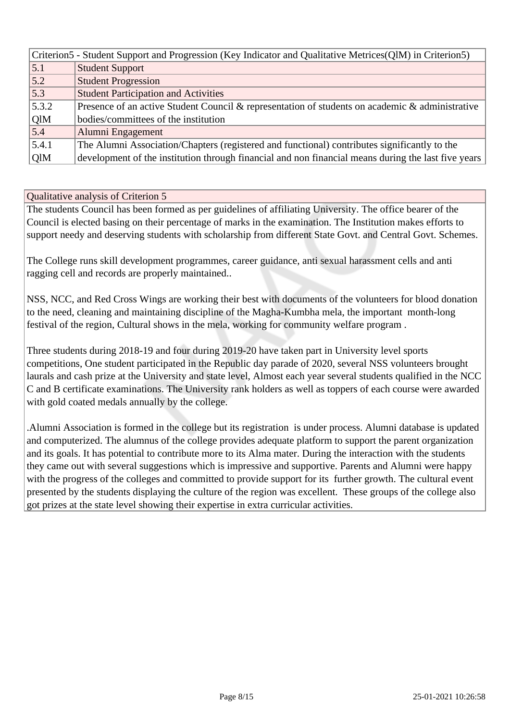| Criterion5 - Student Support and Progression (Key Indicator and Qualitative Metrices (QlM) in Criterion5) |                                                                                                     |  |
|-----------------------------------------------------------------------------------------------------------|-----------------------------------------------------------------------------------------------------|--|
| 5.1                                                                                                       | <b>Student Support</b>                                                                              |  |
| 5.2                                                                                                       | <b>Student Progression</b>                                                                          |  |
| 5.3                                                                                                       | <b>Student Participation and Activities</b>                                                         |  |
| 5.3.2                                                                                                     | Presence of an active Student Council & representation of students on academic & administrative     |  |
| QlM                                                                                                       | bodies/committees of the institution                                                                |  |
| 5.4                                                                                                       | Alumni Engagement                                                                                   |  |
| 5.4.1                                                                                                     | The Alumni Association/Chapters (registered and functional) contributes significantly to the        |  |
| QlM                                                                                                       | development of the institution through financial and non financial means during the last five years |  |

The students Council has been formed as per guidelines of affiliating University. The office bearer of the Council is elected basing on their percentage of marks in the examination. The Institution makes efforts to support needy and deserving students with scholarship from different State Govt. and Central Govt. Schemes.

The College runs skill development programmes, career guidance, anti sexual harassment cells and anti ragging cell and records are properly maintained..

NSS, NCC, and Red Cross Wings are working their best with documents of the volunteers for blood donation to the need, cleaning and maintaining discipline of the Magha-Kumbha mela, the important month-long festival of the region, Cultural shows in the mela, working for community welfare program .

Three students during 2018-19 and four during 2019-20 have taken part in University level sports competitions, One student participated in the Republic day parade of 2020, several NSS volunteers brought laurals and cash prize at the University and state level, Almost each year several students qualified in the NCC C and B certificate examinations. The University rank holders as well as toppers of each course were awarded with gold coated medals annually by the college.

.Alumni Association is formed in the college but its registration is under process. Alumni database is updated and computerized. The alumnus of the college provides adequate platform to support the parent organization and its goals. It has potential to contribute more to its Alma mater. During the interaction with the students they came out with several suggestions which is impressive and supportive. Parents and Alumni were happy with the progress of the colleges and committed to provide support for its further growth. The cultural event presented by the students displaying the culture of the region was excellent. These groups of the college also got prizes at the state level showing their expertise in extra curricular activities.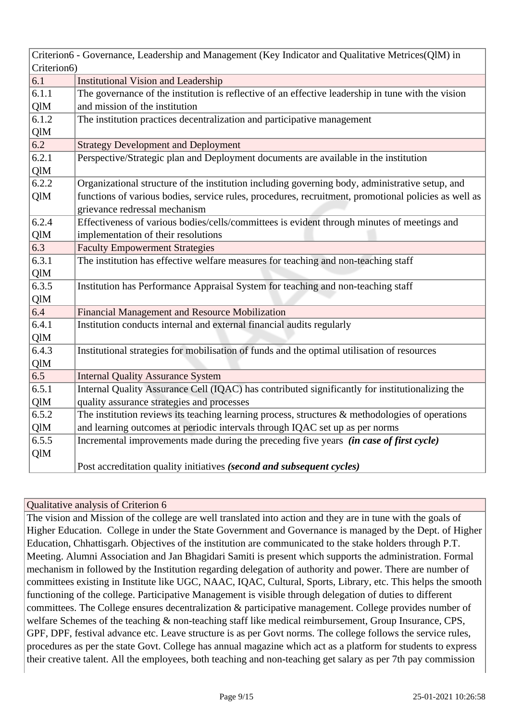|             | Criterion6 - Governance, Leadership and Management (Key Indicator and Qualitative Metrices(QlM) in   |  |  |
|-------------|------------------------------------------------------------------------------------------------------|--|--|
| Criterion6) |                                                                                                      |  |  |
| 6.1         | <b>Institutional Vision and Leadership</b>                                                           |  |  |
| 6.1.1       | The governance of the institution is reflective of an effective leadership in tune with the vision   |  |  |
| QlM         | and mission of the institution                                                                       |  |  |
| 6.1.2       | The institution practices decentralization and participative management                              |  |  |
| QlM         |                                                                                                      |  |  |
| 6.2         | <b>Strategy Development and Deployment</b>                                                           |  |  |
| 6.2.1       | Perspective/Strategic plan and Deployment documents are available in the institution                 |  |  |
| QlM         |                                                                                                      |  |  |
| 6.2.2       | Organizational structure of the institution including governing body, administrative setup, and      |  |  |
| QlM         | functions of various bodies, service rules, procedures, recruitment, promotional policies as well as |  |  |
|             | grievance redressal mechanism                                                                        |  |  |
| 6.2.4       | Effectiveness of various bodies/cells/committees is evident through minutes of meetings and          |  |  |
| QlM         | implementation of their resolutions                                                                  |  |  |
| 6.3         | <b>Faculty Empowerment Strategies</b>                                                                |  |  |
| 6.3.1       | The institution has effective welfare measures for teaching and non-teaching staff                   |  |  |
| QlM         |                                                                                                      |  |  |
| 6.3.5       | Institution has Performance Appraisal System for teaching and non-teaching staff                     |  |  |
| QlM         |                                                                                                      |  |  |
| 6.4         | Financial Management and Resource Mobilization                                                       |  |  |
| 6.4.1       | Institution conducts internal and external financial audits regularly                                |  |  |
| QlM         |                                                                                                      |  |  |
| 6.4.3       | Institutional strategies for mobilisation of funds and the optimal utilisation of resources          |  |  |
| QlM         |                                                                                                      |  |  |
| 6.5         | <b>Internal Quality Assurance System</b>                                                             |  |  |
| 6.5.1       | Internal Quality Assurance Cell (IQAC) has contributed significantly for institutionalizing the      |  |  |
| QlM         | quality assurance strategies and processes                                                           |  |  |
| 6.5.2       | The institution reviews its teaching learning process, structures $\&$ methodologies of operations   |  |  |
| <b>QlM</b>  | and learning outcomes at periodic intervals through IQAC set up as per norms                         |  |  |
| 6.5.5       | Incremental improvements made during the preceding five years (in case of first cycle)               |  |  |
| QlM         |                                                                                                      |  |  |
|             | Post accreditation quality initiatives (second and subsequent cycles)                                |  |  |

The vision and Mission of the college are well translated into action and they are in tune with the goals of Higher Education. College in under the State Government and Governance is managed by the Dept. of Higher Education, Chhattisgarh. Objectives of the institution are communicated to the stake holders through P.T. Meeting. Alumni Association and Jan Bhagidari Samiti is present which supports the administration. Formal mechanism in followed by the Institution regarding delegation of authority and power. There are number of committees existing in Institute like UGC, NAAC, IQAC, Cultural, Sports, Library, etc. This helps the smooth functioning of the college. Participative Management is visible through delegation of duties to different committees. The College ensures decentralization & participative management. College provides number of welfare Schemes of the teaching  $\&$  non-teaching staff like medical reimbursement, Group Insurance, CPS, GPF, DPF, festival advance etc. Leave structure is as per Govt norms. The college follows the service rules, procedures as per the state Govt. College has annual magazine which act as a platform for students to express their creative talent. All the employees, both teaching and non-teaching get salary as per 7th pay commission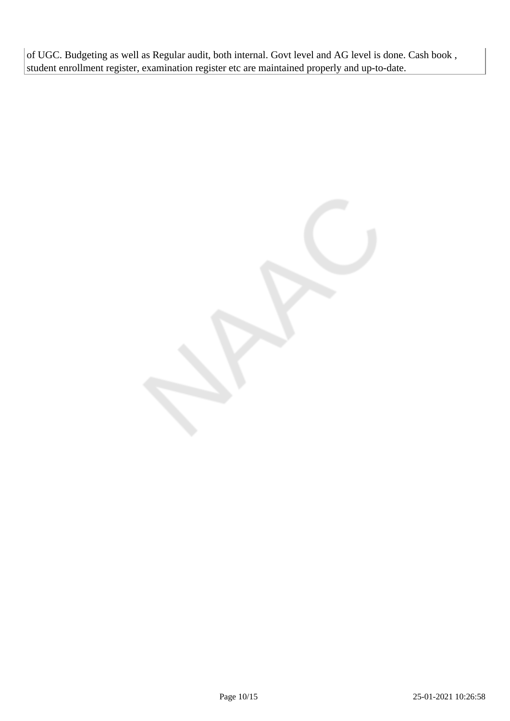of UGC. Budgeting as well as Regular audit, both internal. Govt level and AG level is done. Cash book , student enrollment register, examination register etc are maintained properly and up-to-date.

Page 10/15 25-01-2021 10:26:58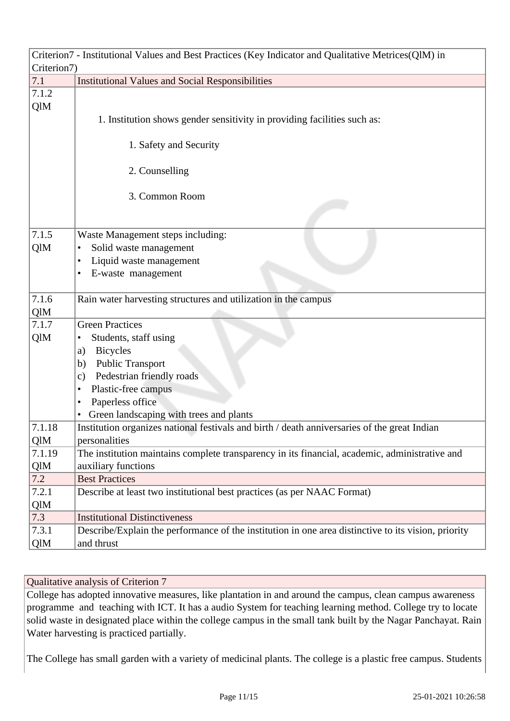|             | Criterion7 - Institutional Values and Best Practices (Key Indicator and Qualitative Metrices(QlM) in |  |  |
|-------------|------------------------------------------------------------------------------------------------------|--|--|
| Criterion7) |                                                                                                      |  |  |
| 7.1         | <b>Institutional Values and Social Responsibilities</b>                                              |  |  |
| 7.1.2       |                                                                                                      |  |  |
| QlM         |                                                                                                      |  |  |
|             | 1. Institution shows gender sensitivity in providing facilities such as:                             |  |  |
|             |                                                                                                      |  |  |
|             | 1. Safety and Security                                                                               |  |  |
|             |                                                                                                      |  |  |
|             | 2. Counselling                                                                                       |  |  |
|             |                                                                                                      |  |  |
|             | 3. Common Room                                                                                       |  |  |
|             |                                                                                                      |  |  |
|             |                                                                                                      |  |  |
| 7.1.5       | Waste Management steps including:                                                                    |  |  |
| QlM         | Solid waste management<br>٠                                                                          |  |  |
|             | Liquid waste management<br>٠                                                                         |  |  |
|             | E-waste management<br>$\bullet$                                                                      |  |  |
| 7.1.6       | Rain water harvesting structures and utilization in the campus                                       |  |  |
| QlM         |                                                                                                      |  |  |
| 7.1.7       | <b>Green Practices</b>                                                                               |  |  |
| QlM         | Students, staff using                                                                                |  |  |
|             | <b>Bicycles</b>                                                                                      |  |  |
|             | a)<br><b>Public Transport</b><br>b)                                                                  |  |  |
|             | Pedestrian friendly roads<br>$\mathbf{c})$                                                           |  |  |
|             | Plastic-free campus<br>٠                                                                             |  |  |
|             | Paperless office<br>$\bullet$                                                                        |  |  |
|             | Green landscaping with trees and plants                                                              |  |  |
| 7.1.18      | Institution organizes national festivals and birth / death anniversaries of the great Indian         |  |  |
| QlM         | personalities                                                                                        |  |  |
| 7.1.19      | The institution maintains complete transparency in its financial, academic, administrative and       |  |  |
| QlM         | auxiliary functions                                                                                  |  |  |
| 7.2         | <b>Best Practices</b>                                                                                |  |  |
| 7.2.1       | Describe at least two institutional best practices (as per NAAC Format)                              |  |  |
| QlM         |                                                                                                      |  |  |
| 7.3         | <b>Institutional Distinctiveness</b>                                                                 |  |  |
| 7.3.1       | Describe/Explain the performance of the institution in one area distinctive to its vision, priority  |  |  |
| QlM         | and thrust                                                                                           |  |  |

College has adopted innovative measures, like plantation in and around the campus, clean campus awareness programme and teaching with ICT. It has a audio System for teaching learning method. College try to locate solid waste in designated place within the college campus in the small tank built by the Nagar Panchayat. Rain Water harvesting is practiced partially.

The College has small garden with a variety of medicinal plants. The college is a plastic free campus. Students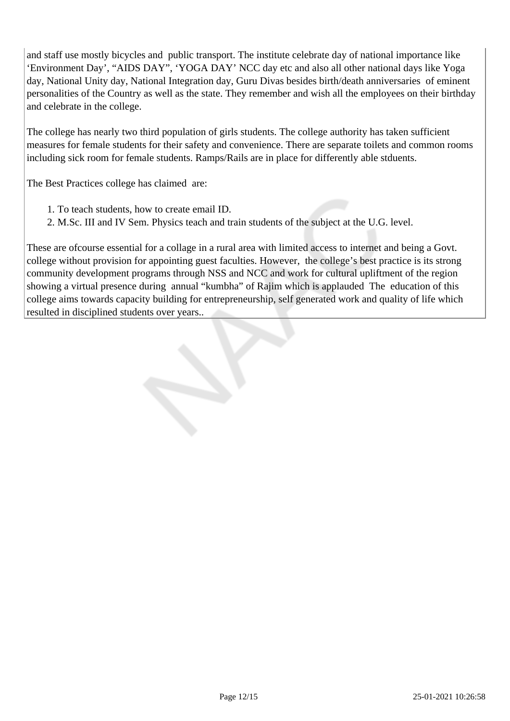and staff use mostly bicycles and public transport. The institute celebrate day of national importance like 'Environment Day', "AIDS DAY", 'YOGA DAY' NCC day etc and also all other national days like Yoga day, National Unity day, National Integration day, Guru Divas besides birth/death anniversaries of eminent personalities of the Country as well as the state. They remember and wish all the employees on their birthday and celebrate in the college.

The college has nearly two third population of girls students. The college authority has taken sufficient measures for female students for their safety and convenience. There are separate toilets and common rooms including sick room for female students. Ramps/Rails are in place for differently able stduents.

The Best Practices college has claimed are:

- 1. To teach students, how to create email ID.
- 2. M.Sc. III and IV Sem. Physics teach and train students of the subject at the U.G. level.

These are ofcourse essential for a collage in a rural area with limited access to internet and being a Govt. college without provision for appointing guest faculties. However, the college's best practice is its strong community development programs through NSS and NCC and work for cultural upliftment of the region showing a virtual presence during annual "kumbha" of Rajim which is applauded The education of this college aims towards capacity building for entrepreneurship, self generated work and quality of life which resulted in disciplined students over years..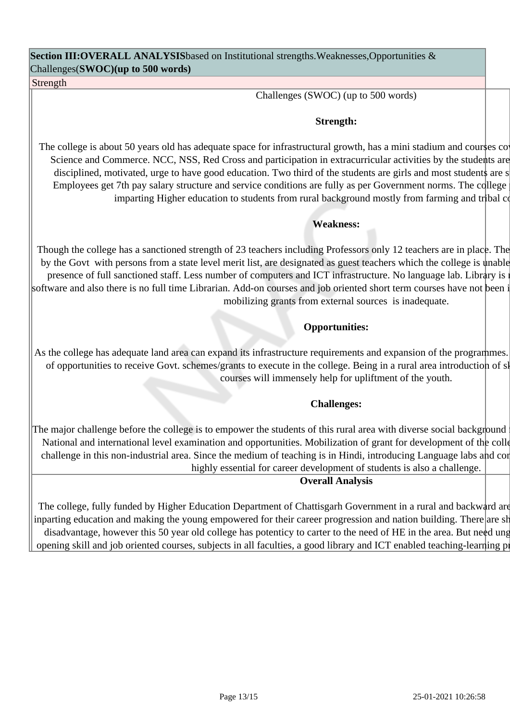**Section III:OVERALL ANALYSIS**based on Institutional strengths.Weaknesses,Opportunities & Challenges(**SWOC)(up to 500 words)**

Strength

Challenges (SWOC) (up to 500 words)

#### **Strength:**

The college is about 50 years old has adequate space for infrastructural growth, has a mini stadium and courses co Science and Commerce. NCC, NSS, Red Cross and participation in extracurricular activities by the students are disciplined, motivated, urge to have good education. Two third of the students are girls and most students are s Employees get 7th pay salary structure and service conditions are fully as per Government norms. The college imparting Higher education to students from rural background mostly from farming and tribal comparation.

#### **Weakness:**

Though the college has a sanctioned strength of 23 teachers including Professors only 12 teachers are in place. The by the Govt with persons from a state level merit list, are designated as guest teachers which the college is unable presence of full sanctioned staff. Less number of computers and ICT infrastructure. No language lab. Library is no software and also there is no full time Librarian. Add-on courses and job oriented short term courses have not been i mobilizing grants from external sources is inadequate.

### **Opportunities:**

As the college has adequate land area can expand its infrastructure requirements and expansion of the programmes. of opportunities to receive Govt. schemes/grants to execute in the college. Being in a rural area introduction of sl courses will immensely help for upliftment of the youth.

#### **Challenges:**

The major challenge before the college is to empower the students of this rural area with diverse social background National and international level examination and opportunities. Mobilization of grant for development of the colle challenge in this non-industrial area. Since the medium of teaching is in Hindi, introducing Language labs and con highly essential for career development of students is also a challenge.

#### **Overall Analysis**

The college, fully funded by Higher Education Department of Chattisgarh Government in a rural and backward are inparting education and making the young empowered for their career progression and nation building. There are show disadvantage, however this 50 year old college has potenticy to carter to the need of HE in the area. But need ung opening skill and job oriented courses, subjects in all faculties, a good library and ICT enabled teaching-learning process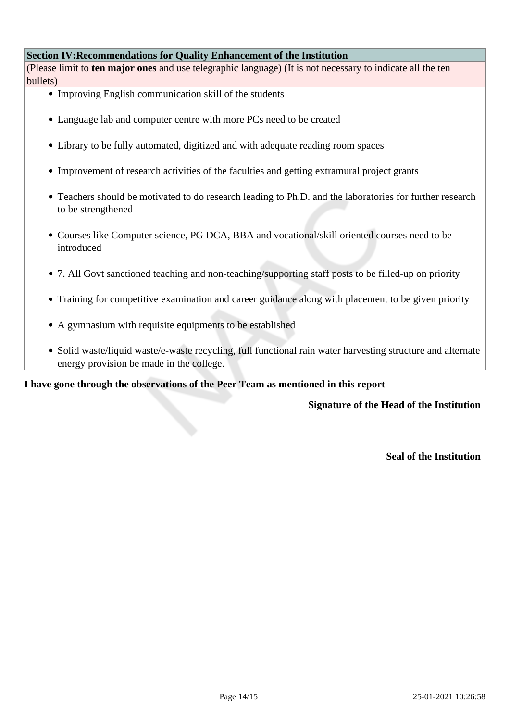#### **Section IV:Recommendations for Quality Enhancement of the Institution**

(Please limit to **ten major ones** and use telegraphic language) (It is not necessary to indicate all the ten bullets)

- Improving English communication skill of the students
- Language lab and computer centre with more PCs need to be created
- Library to be fully automated, digitized and with adequate reading room spaces
- Improvement of research activities of the faculties and getting extramural project grants
- Teachers should be motivated to do research leading to Ph.D. and the laboratories for further research to be strengthened
- Courses like Computer science, PG DCA, BBA and vocational/skill oriented courses need to be introduced
- 7. All Govt sanctioned teaching and non-teaching/supporting staff posts to be filled-up on priority
- Training for competitive examination and career guidance along with placement to be given priority
- A gymnasium with requisite equipments to be established
- Solid waste/liquid waste/e-waste recycling, full functional rain water harvesting structure and alternate energy provision be made in the college.

**I have gone through the observations of the Peer Team as mentioned in this report**

**Signature of the Head of the Institution**

**Seal of the Institution**